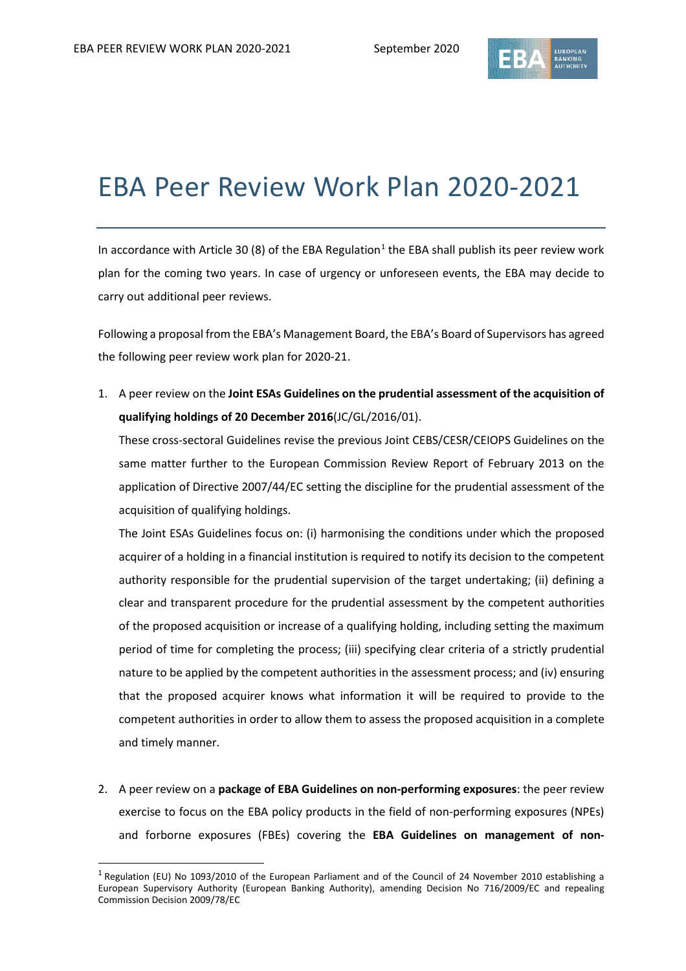$\overline{a}$ 



## EBA Peer Review Work Plan 2020-2021

In accordance with Article 30 (8) of the EBA Regulation<sup>[1](#page-0-0)</sup> the EBA shall publish its peer review work plan for the coming two years. In case of urgency or unforeseen events, the EBA may decide to carry out additional peer reviews.

Following a proposal from the EBA's Management Board, the EBA's Board of Supervisors has agreed the following peer review work plan for 2020-21.

1. A peer review on the **Joint ESAs Guidelines on the prudential assessment of the acquisition of qualifying holdings of 20 December 2016**(JC/GL/2016/01).

These cross-sectoral Guidelines revise the previous Joint CEBS/CESR/CEIOPS Guidelines on the same matter further to the European Commission Review Report of February 2013 on the application of Directive 2007/44/EC setting the discipline for the prudential assessment of the acquisition of qualifying holdings.

The Joint ESAs Guidelines focus on: (i) harmonising the conditions under which the proposed acquirer of a holding in a financial institution is required to notify its decision to the competent authority responsible for the prudential supervision of the target undertaking; (ii) defining a clear and transparent procedure for the prudential assessment by the competent authorities of the proposed acquisition or increase of a qualifying holding, including setting the maximum period of time for completing the process; (iii) specifying clear criteria of a strictly prudential nature to be applied by the competent authorities in the assessment process; and (iv) ensuring that the proposed acquirer knows what information it will be required to provide to the competent authorities in order to allow them to assess the proposed acquisition in a complete and timely manner.

2. A peer review on a **package of EBA Guidelines on non-performing exposures**: the peer review exercise to focus on the EBA policy products in the field of non-performing exposures (NPEs) and forborne exposures (FBEs) covering the **EBA Guidelines on management of non-**

<span id="page-0-0"></span><sup>1</sup> Regulation (EU) No 1093/2010 of the European Parliament and of the Council of 24 November 2010 establishing a European Supervisory Authority (European Banking Authority), amending Decision No 716/2009/EC and repealing Commission Decision 2009/78/EC